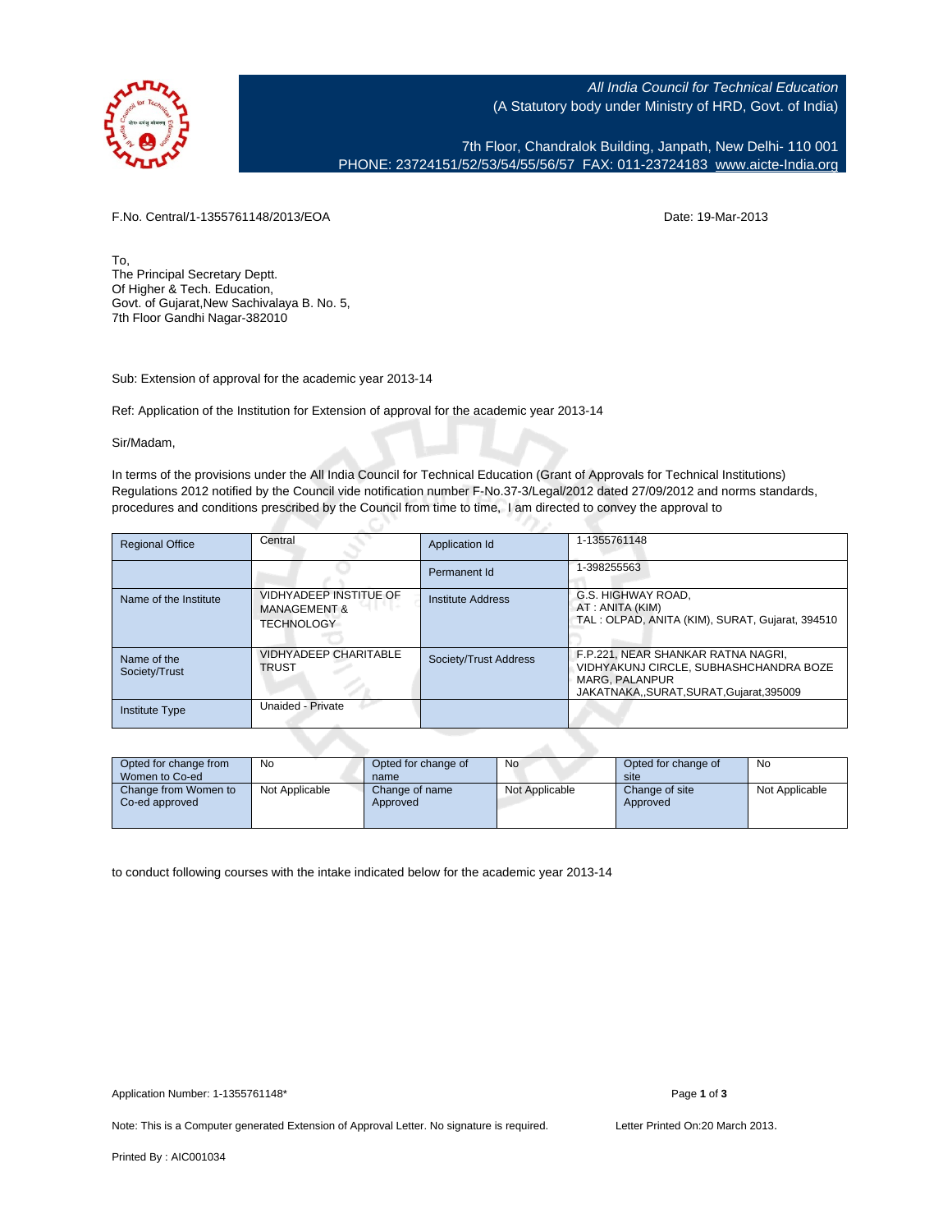

All India Council for Technical Education (A Statutory body under Ministry of HRD, Govt. of India)

7th Floor, Chandralok Building, Janpath, New Delhi- 110 001 PHONE: 23724151/52/53/54/55/56/57 FAX: 011-23724183 [www.aicte-India.org](http://www.aicte-India.org)

F.No. Central/1-1355761148/2013/EOA Date: 19-Mar-2013

To, The Principal Secretary Deptt. Of Higher & Tech. Education, Govt. of Gujarat,New Sachivalaya B. No. 5, 7th Floor Gandhi Nagar-382010

Sub: Extension of approval for the academic year 2013-14

Ref: Application of the Institution for Extension of approval for the academic year 2013-14

Sir/Madam,

In terms of the provisions under the All India Council for Technical Education (Grant of Approvals for Technical Institutions) Regulations 2012 notified by the Council vide notification number F-No.37-3/Legal/2012 dated 27/09/2012 and norms standards, procedures and conditions prescribed by the Council from time to time, I am directed to convey the approval to

| <b>Regional Office</b>       | Central                                                                | Application Id        | 1-1355761148                                                                                                                                 |
|------------------------------|------------------------------------------------------------------------|-----------------------|----------------------------------------------------------------------------------------------------------------------------------------------|
|                              |                                                                        | Permanent Id          | 1-398255563                                                                                                                                  |
| Name of the Institute        | VIDHYADEEP INSTITUE OF<br><b>MANAGEMENT &amp;</b><br><b>TECHNOLOGY</b> | Institute Address     | G.S. HIGHWAY ROAD.<br>AT: ANITA (KIM)<br>TAL: OLPAD, ANITA (KIM), SURAT, Guiarat, 394510                                                     |
| Name of the<br>Society/Trust | <b>VIDHYADEEP CHARITABLE</b><br><b>TRUST</b>                           | Society/Trust Address | F.P.221, NEAR SHANKAR RATNA NAGRI,<br>VIDHYAKUNJ CIRCLE, SUBHASHCHANDRA BOZE<br><b>MARG. PALANPUR</b><br>JAKATNAKASURAT.SURAT.Gujarat.395009 |
| <b>Institute Type</b>        | Unaided - Private                                                      |                       |                                                                                                                                              |

| Opted for change from<br>Women to Co-ed | No             | Opted for change of<br>name | No             | Opted for change of<br>site | No             |
|-----------------------------------------|----------------|-----------------------------|----------------|-----------------------------|----------------|
| Change from Women to<br>Co-ed approved  | Not Applicable | Change of name<br>Approved  | Not Applicable | Change of site<br>Approved  | Not Applicable |

to conduct following courses with the intake indicated below for the academic year 2013-14

Note: This is a Computer generated Extension of Approval Letter. No signature is required. Letter Printed On:20 March 2013.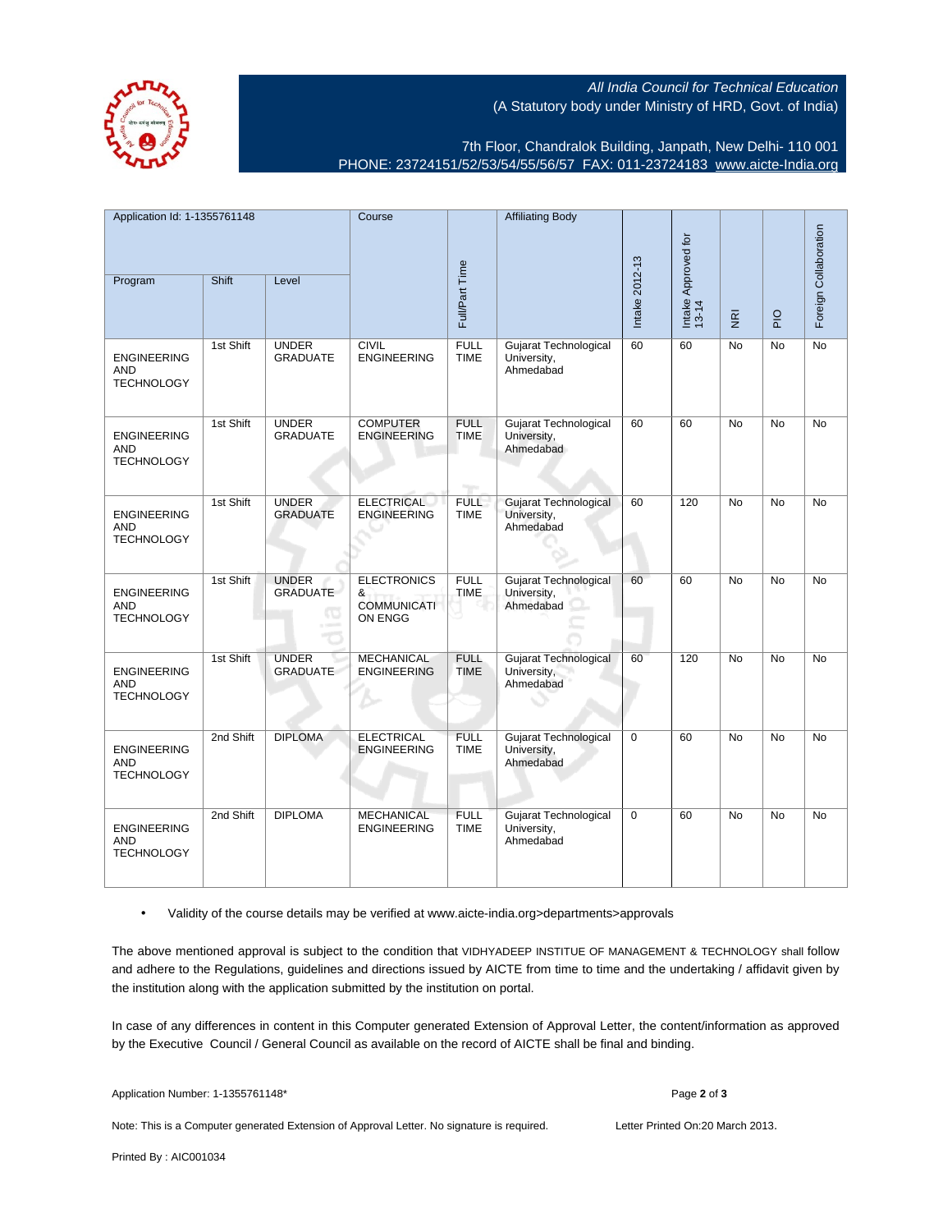All India Council for Technical Education (A Statutory body under Ministry of HRD, Govt. of India)



7th Floor, Chandralok Building, Janpath, New Delhi- 110 001 PHONE: 23724151/52/53/54/55/56/57 FAX: 011-23724183 [www.aicte-India.org](http://www.aicte-India.org)

| Application Id: 1-1355761148                          |           | Course                          |                                                          | <b>Affiliating Body</b>    |                                                          |                |                              |                         | Foreign Collaboration |                 |
|-------------------------------------------------------|-----------|---------------------------------|----------------------------------------------------------|----------------------------|----------------------------------------------------------|----------------|------------------------------|-------------------------|-----------------------|-----------------|
| Program                                               | Shift     | Level                           |                                                          | Full/Part Time             |                                                          | Intake 2012-13 | Intake Approved for<br>13-14 | $\overline{\mathbf{g}}$ | $rac{Q}{P}$           |                 |
| <b>ENGINEERING</b><br><b>AND</b><br><b>TECHNOLOGY</b> | 1st Shift | <b>UNDER</b><br><b>GRADUATE</b> | <b>CIVIL</b><br><b>ENGINEERING</b>                       | <b>FULL</b><br><b>TIME</b> | Gujarat Technological<br>University,<br>Ahmedabad        | 60             | 60                           | No                      | No                    | $\overline{No}$ |
| <b>ENGINEERING</b><br><b>AND</b><br><b>TECHNOLOGY</b> | 1st Shift | <b>UNDER</b><br><b>GRADUATE</b> | <b>COMPUTER</b><br><b>ENGINEERING</b>                    | <b>FULL</b><br><b>TIME</b> | Gujarat Technological<br>University,<br>Ahmedabad        | 60             | 60                           | <b>No</b>               | <b>No</b>             | No              |
| <b>ENGINEERING</b><br><b>AND</b><br><b>TECHNOLOGY</b> | 1st Shift | <b>UNDER</b><br><b>GRADUATE</b> | <b>ELECTRICAL</b><br><b>ENGINEERING</b>                  | <b>FULL</b><br><b>TIME</b> | <b>Gujarat Technological</b><br>University,<br>Ahmedabad | 60             | 120                          | No                      | No                    | No              |
| <b>ENGINEERING</b><br>AND<br><b>TECHNOLOGY</b>        | 1st Shift | <b>UNDER</b><br><b>GRADUATE</b> | <b>ELECTRONICS</b><br>&<br><b>COMMUNICATI</b><br>ON ENGG | <b>FULL</b><br><b>TIME</b> | Gujarat Technological<br>University,<br>Ahmedabad        | 60             | 60                           | <b>No</b>               | <b>No</b>             | No              |
| <b>ENGINEERING</b><br><b>AND</b><br><b>TECHNOLOGY</b> | 1st Shift | <b>UNDER</b><br><b>GRADUATE</b> | <b>MECHANICAL</b><br><b>ENGINEERING</b>                  | <b>FULL</b><br><b>TIME</b> | <b>Gujarat Technological</b><br>University.<br>Ahmedabad | 60             | 120                          | <b>No</b>               | <b>No</b>             | <b>No</b>       |
| <b>ENGINEERING</b><br><b>AND</b><br><b>TECHNOLOGY</b> | 2nd Shift | <b>DIPLOMA</b>                  | <b>ELECTRICAL</b><br><b>ENGINEERING</b>                  | <b>FULL</b><br><b>TIME</b> | Gujarat Technological<br>University,<br>Ahmedabad        | $\mathbf 0$    | 60                           | <b>No</b>               | <b>No</b>             | <b>No</b>       |
| <b>ENGINEERING</b><br><b>AND</b><br><b>TECHNOLOGY</b> | 2nd Shift | <b>DIPLOMA</b>                  | <b>MECHANICAL</b><br><b>ENGINEERING</b>                  | <b>FULL</b><br><b>TIME</b> | Gujarat Technological<br>University,<br>Ahmedabad        | $\mathbf 0$    | 60                           | <b>No</b>               | <b>No</b>             | <b>No</b>       |

• Validity of the course details may be verified at www.aicte-india.org>departments>approvals

The above mentioned approval is subject to the condition that VIDHYADEEP INSTITUE OF MANAGEMENT & TECHNOLOGY shall follow and adhere to the Regulations, guidelines and directions issued by AICTE from time to time and the undertaking / affidavit given by the institution along with the application submitted by the institution on portal.

In case of any differences in content in this Computer generated Extension of Approval Letter, the content/information as approved by the Executive Council / General Council as available on the record of AICTE shall be final and binding.

Note: This is a Computer generated Extension of Approval Letter. No signature is required. Letter Printed On:20 March 2013.